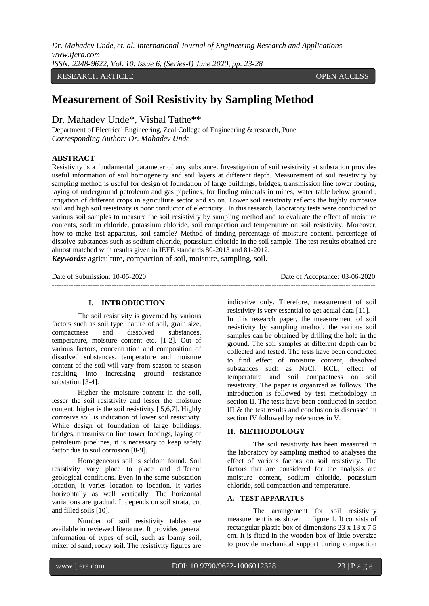*Dr. Mahadev Unde, et. al. International Journal of Engineering Research and Applications www.ijera.com*

*ISSN: 2248-9622, Vol. 10, Issue 6, (Series-I) June 2020, pp. 23-28*

# RESEARCH ARTICLE OPEN ACCESS

# **Measurement of Soil Resistivity by Sampling Method**

Dr. Mahadev Unde\*, Vishal Tathe\*\*

Department of Electrical Engineering, Zeal College of Engineering & research, Pune *Corresponding Author: Dr. Mahadev Unde*

# **ABSTRACT**

Resistivity is a fundamental parameter of any substance. Investigation of soil resistivity at substation provides useful information of soil homogeneity and soil layers at different depth. Measurement of soil resistivity by sampling method is useful for design of foundation of large buildings, bridges, transmission line tower footing, laying of underground petroleum and gas pipelines, for finding minerals in mines, water table below ground , irrigation of different crops in agriculture sector and so on. Lower soil resistivity reflects the highly corrosive soil and high soil resistivity is poor conductor of electricity. In this research, laboratory tests were conducted on various soil samples to measure the soil resistivity by sampling method and to evaluate the effect of moisture contents, sodium chloride, potassium chloride, soil compaction and temperature on soil resistivity. Moreover, how to make test apparatus, soil sample? Method of finding percentage of moisture content, percentage of dissolve substances such as sodium chloride, potassium chloride in the soil sample. The test results obtained are almost matched with results given in IEEE standards 80-2013 and 81-2012.

*Keywords:* agriculture**,** compaction of soil, moisture, sampling, soil.

--------------------------------------------------------------------------------------------------------------------------------------- Date of Submission: 10-05-2020 Date of Acceptance: 03-06-2020  $-1\leq i\leq n-1$ 

### **I. INTRODUCTION**

The soil resistivity is governed by various factors such as soil type, nature of soil, grain size, compactness and dissolved substances, temperature, moisture content etc. [1-2]. Out of various factors, concentration and composition of dissolved substances, temperature and moisture content of the soil will vary from season to season resulting into increasing ground resistance substation [3-4].

Higher the moisture content in the soil, lesser the soil resistivity and lesser the moisture content, higher is the soil resistivity [ 5,6,7]. Highly corrosive soil is indication of lower soil resistivity. While design of foundation of large buildings, bridges, transmission line tower footings, laying of petroleum pipelines, it is necessary to keep safety factor due to soil corrosion [8-9].

Homogeneous soil is seldom found. Soil resistivity vary place to place and different geological conditions. Even in the same substation location, it varies location to location. It varies horizontally as well vertically. The horizontal variations are gradual. It depends on soil strata, cut and filled soils [10].

Number of soil resistivity tables are available in reviewed literature. It provides general information of types of soil, such as loamy soil, mixer of sand, rocky soil. The resistivity figures are

indicative only. Therefore, measurement of soil resistivity is very essential to get actual data [11]. In this research paper, the measurement of soil resistivity by sampling method, the various soil samples can be obtained by drilling the hole in the ground. The soil samples at different depth can be collected and tested. The tests have been conducted to find effect of moisture content, dissolved substances such as NaCl, KCL, effect of temperature and soil compactness on soil resistivity. The paper is organized as follows. The introduction is followed by test methodology in section II. The tests have been conducted in section III & the test results and conclusion is discussed in section IV followed by references in V.

### **II. METHODOLOGY**

The soil resistivity has been measured in the laboratory by sampling method to analyses the effect of various factors on soil resistivity. The factors that are considered for the analysis are moisture content, sodium chloride, potassium chloride, soil compaction and temperature.

# **A. TEST APPARATUS**

The arrangement for soil resistivity measurement is as shown in figure 1. It consists of rectangular plastic box of dimensions 23 x 13 x 7.5 cm. It is fitted in the wooden box of little oversize to provide mechanical support during compaction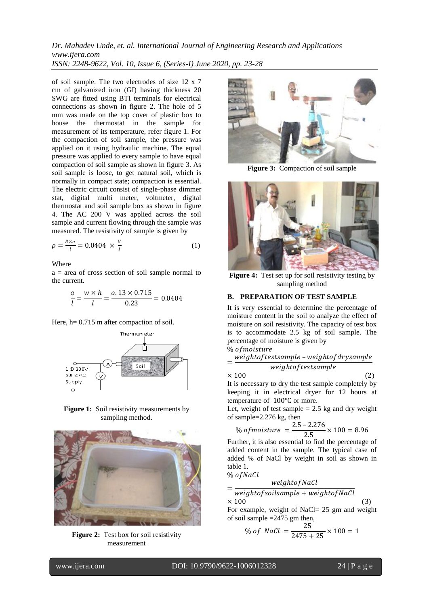*Dr. Mahadev Unde, et. al. International Journal of Engineering Research and Applications www.ijera.com ISSN: 2248-9622, Vol. 10, Issue 6, (Series-I) June 2020, pp. 23-28*

of soil sample. The two electrodes of size 12 x 7 cm of galvanized iron (GI) having thickness 20 SWG are fitted using BTI terminals for electrical connections as shown in figure 2. The hole of 5 mm was made on the top cover of plastic box to house the thermostat in the sample for measurement of its temperature, refer figure 1. For the compaction of soil sample, the pressure was applied on it using hydraulic machine. The equal pressure was applied to every sample to have equal compaction of soil sample as shown in figure 3. As soil sample is loose, to get natural soil, which is normally in compact state; compaction is essential. The electric circuit consist of single-phase dimmer stat, digital multi meter, voltmeter, digital thermostat and soil sample box as shown in figure 4. The AC 200 V was applied across the soil sample and current flowing through the sample was measured. The resistivity of sample is given by

$$
\rho = \frac{R \times a}{l} = 0.0404 \times \frac{V}{l} \tag{1}
$$

Where

 $a = \text{area of cross section of soil sample normal to }$ the current.

$$
\frac{a}{l} = \frac{w \times h}{l} = \frac{0.13 \times 0.715}{0.23} = 0.0404
$$

Here, h=  $0.715$  m after compaction of soil.



**Figure 1:** Soil resistivity measurements by sampling method.



**Figure 2:** Test box for soil resistivity measurement



**Figure 3:** Compaction of soil sample



Figure 4: Test set up for soil resistivity testing by sampling method

### **B. PREPARATION OF TEST SAMPLE**

It is very essential to determine the percentage of moisture content in the soil to analyze the effect of moisture on soil resistivity. The capacity of test box is to accommodate 2.5 kg of soil sample. The percentage of moisture is given by

% of moisture

= weightof testsample - weightof drysample  $weight of test sample$ 

$$
\times\,100\tag{2}
$$

It is necessary to dry the test sample completely by keeping it in electrical dryer for 12 hours at temperature of 100℃ or more.

Let, weight of test sample  $= 2.5$  kg and dry weight of sample=2.276 kg, then

% of moisture 
$$
=
$$
  $\frac{2.5 - 2.276}{2.5} \times 100 = 8.96$ 

Further, it is also essential to find the percentage of added content in the sample. The typical case of added % of NaCl by weight in soil as shown in table 1. % of NaCl

$$
w\acute{e} = \acute{e} = \acute{e} = \acute{e} = \acute{e} = \acute{e} = \acute{e} = \acute{e} = \acute{e} = \acute{e} = \acute{e} = \acute{e} = \acute{e} = \acute{e} = \acute{e} = \acute{e} = \acute{e} = \acute{e} = \acute{e} = \acute{e} = \acute{e} = \acute{e} = \acute{e} = \acute{e} = \acute{e} = \acute{e} = \acute{e} = \acute{e} = \acute{e} = \acute{e} = \acute{e} = \acute{e} = \acute{e} = \acute{e} = \acute{e} = \acute{e} = \acute{e} = \acute{e} = \acute{e} = \acute{e} = \acute{e} = \acute{e} = \acute{e} = \acute{e} = \acute{e} = \acute{e} = \acute{e} = \acute{e} = \acute{e} = \acute{e} = \acute{e} = \acute{e} = \acute{e} = \acute{e} = \acute{e} = \acute{e} = \acute{e} = \acute{e} = \acute{e} = \acute{e} = \acute{e} = \acute{e} = \acute{e} = \acute{e} = \acute{e} = \acute{e} = \acute{e} = \acute{e} = \acute{e} = \acute{e} = \acute{e} = \acute{e} = \acute{e} = \acute{e} = \acute{e} = \acute{e} = \acute{e} = \acute{e} = \acute{e} = \acute{e} = \acute{e} = \acute{e} = \acute{e} = \acute{e} = \acute{e} = \acute{e} = \acute{e} = \acute{e} = \acute{e} = \acute{e} = \acute{e} = \acute{e} = \acute{e} = \acute{e} = \acute{e} = \acute{e} = \acute{e} = \acute{e} = \acute{e} = \acute{e} = \acute{e} = \acute{e} = \acute{e} = \acute{e} = \acute{e} = \acute{e} = \acute{e} = \acute{e} = \acute{e} = \acute{e} = \acute{e} = \acute{e} = \acute{e} = \acute{e} = \acute{e} = \acute{e} = \acute{e} = \acute{e} = \acute{e} = \acute{e} = \acute{e} = \acute{e} = \acute{e} = \acute{e} = \acute{e} = \acute{e} = \acute
$$

$$
= \frac{1}{weight of solsample + weight of NaCl}
$$
  
× 100 (3)

For example, weight of NaCl= 25 gm and weight of soil sample =2475 gm then,

% of NaCl = 
$$
\frac{25}{2475 + 25} \times 100 = 1
$$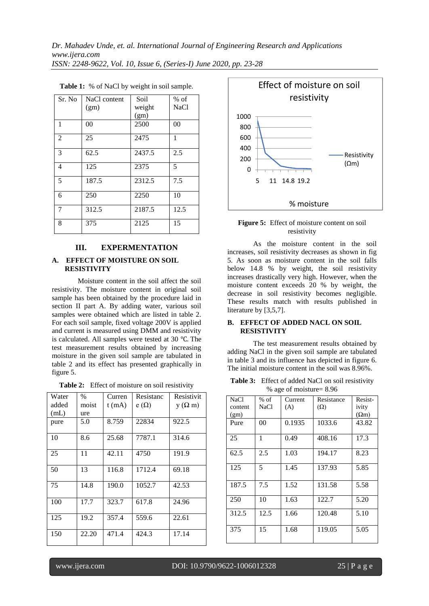| Sr. No         | NaCl content | Soil   | $%$ of      |
|----------------|--------------|--------|-------------|
|                | (gm)         | weight | <b>NaCl</b> |
|                |              | (gm)   |             |
| 1              | 00           | 2500   | 00          |
| $\overline{2}$ | 25           | 2475   | 1           |
| 3              | 62.5         | 2437.5 | 2.5         |
| 4              | 125          | 2375   | 5           |
| 5              | 187.5        | 2312.5 | 7.5         |
| 6              | 250          | 2250   | 10          |
| 7              | 312.5        | 2187.5 | 12.5        |
| 8              | 375          | 2125   | 15          |

**Table 1:** % of NaCl by weight in soil sample.

#### **III. EXPERMENTATION**

#### **A. EFFECT OF MOISTURE ON SOIL RESISTIVITY**

Moisture content in the soil affect the soil resistivity. The moisture content in original soil sample has been obtained by the procedure laid in section II part A. By adding water, various soil samples were obtained which are listed in table 2. For each soil sample, fixed voltage 200V is applied and current is measured using DMM and resistivity is calculated. All samples were tested at 30 ℃. The test measurement results obtained by increasing moisture in the given soil sample are tabulated in table 2 and its effect has presented graphically in figure 5.

**Table 2:** Effect of moisture on soil resistivity

| Water | $\%$  | Curren   | Resistanc   | Resistivit    |
|-------|-------|----------|-------------|---------------|
| added | moist | $t$ (mA) | $e(\Omega)$ | $y(\Omega m)$ |
| (mL)  | ure   |          |             |               |
| pure  | 5.0   | 8.759    | 22834       | 922.5         |
| 10    | 8.6   | 25.68    | 7787.1      | 314.6         |
| 25    | 11    | 42.11    | 4750        | 191.9         |
| 50    | 13    | 116.8    | 1712.4      | 69.18         |
| 75    | 14.8  | 190.0    | 1052.7      | 42.53         |
| 100   | 17.7  | 323.7    | 617.8       | 24.96         |
| 125   | 19.2  | 357.4    | 559.6       | 22.61         |
| 150   | 22.20 | 471.4    | 424.3       | 17.14         |



**Figure 5:** Effect of moisture content on soil resistivity

As the moisture content in the soil increases, soil resistivity decreases as shown in fig 5. As soon as moisture content in the soil falls below 14.8 % by weight, the soil resistivity increases drastically very high. However, when the moisture content exceeds 20 % by weight, the decrease in soil resistivity becomes negligible. These results match with results published in literature by [3,5,7].

#### **B. EFFECT OF ADDED NACL ON SOIL RESISTIVITY**

The test measurement results obtained by adding NaCl in the given soil sample are tabulated in table 3 and its influence has depicted in figure 6. The initial moisture content in the soil was 8.96%.

**Table 3:** Effect of added NaCl on soil resistivity % age of moisture= 8.96

| <b>NaCl</b> | $%$ of | Current | Resistance | Resist-      |  |
|-------------|--------|---------|------------|--------------|--|
| content     | NaCl   | (A)     | $(\Omega)$ | ivity        |  |
| (gm)        |        |         |            | $(\Omega m)$ |  |
| Pure        | 00     | 0.1935  | 1033.6     | 43.82        |  |
| 25          | 1      | 0.49    | 408.16     | 17.3         |  |
| 62.5        | 2.5    | 1.03    | 194.17     | 8.23         |  |
| 125         | 5      | 1.45    | 137.93     | 5.85         |  |
| 187.5       | 7.5    | 1.52    | 131.58     | 5.58         |  |
| 250         | 10     | 1.63    | 122.7      | 5.20         |  |
| 312.5       | 12.5   | 1.66    | 120.48     | 5.10         |  |
| 375         | 15     | 1.68    | 119.05     | 5.05         |  |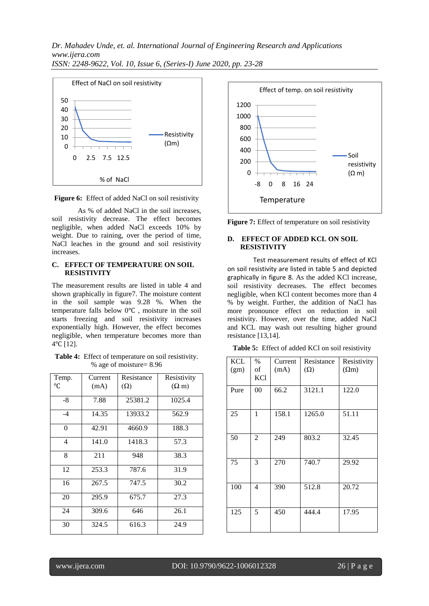*Dr. Mahadev Unde, et. al. International Journal of Engineering Research and Applications www.ijera.com*







As % of added NaCl in the soil increases, soil resistivity decrease. The effect becomes negligible, when added NaCl exceeds 10% by weight. Due to raining, over the period of time, NaCl leaches in the ground and soil resistivity increases.

#### **C. EFFECT OF TEMPERATURE ON SOIL RESISTIVITY**

The measurement results are listed in table 4 and shown graphically in figure7. The moisture content in the soil sample was 9.28 %. When the temperature falls below 0℃ , moisture in the soil starts freezing and soil resistivity increases exponentially high. However, the effect becomes negligible, when temperature becomes more than 4℃ [12].

| Table 4: Effect of temperature on soil resistivity. |
|-----------------------------------------------------|
| % age of moisture= $8.96$                           |

| Temp.<br>°C | Current<br>(mA) | Resistance<br>$(\Omega)$ | Resistivity<br>$(\Omega m)$ |
|-------------|-----------------|--------------------------|-----------------------------|
| -8          | 7.88            | 25381.2                  | 1025.4                      |
| $-4$        | 14.35           | 13933.2                  | 562.9                       |
| $\theta$    | 42.91           | 4660.9                   | 188.3                       |
| 4           | 141.0           | 1418.3                   | 57.3                        |
| 8           | 211             | 948                      | 38.3                        |
| 12          | 253.3           | 787.6                    | 31.9                        |
| 16          | 267.5           | 747.5                    | 30.2                        |
| 20          | 295.9           | 675.7                    | 27.3                        |
| 24          | 309.6           | 646                      | 26.1                        |
| 30          | 324.5           | 616.3                    | 24.9                        |





### **D. EFFECT OF ADDED KCL ON SOIL RESISTIVITY**

Test measurement results of effect of KCl on soil resistivity are listed in table 5 and depicted graphically in figure 8. As the added KCl increase, soil resistivity decreases. The effect becomes negligible, when KCl content becomes more than 4 % by weight. Further, the addition of NaCl has more pronounce effect on reduction in soil resistivity. However, over the time, added NaCl and KCL may wash out resulting higher ground resistance [13,14].

|  |  |  |  |  | Table 5: Effect of added KCl on soil resistivity |
|--|--|--|--|--|--------------------------------------------------|
|--|--|--|--|--|--------------------------------------------------|

| KCL<br>(gm) | $\%$<br>of<br><b>KCl</b> | Current<br>(mA) | Resistance<br>$(\Omega)$ | Resistivity<br>$(\Omega m)$ |
|-------------|--------------------------|-----------------|--------------------------|-----------------------------|
| Pure        | 00                       | 66.2            | 3121.1                   | 122.0                       |
| 25          | 1                        | 158.1           | 1265.0                   | 51.11                       |
| 50          | $\overline{c}$           | 249             | 803.2                    | 32.45                       |
| 75          | 3                        | 270             | 740.7                    | 29.92                       |
| 100         | 4                        | 390             | 512.8                    | 20.72                       |
| 125         | 5                        | 450             | 444.4                    | 17.95                       |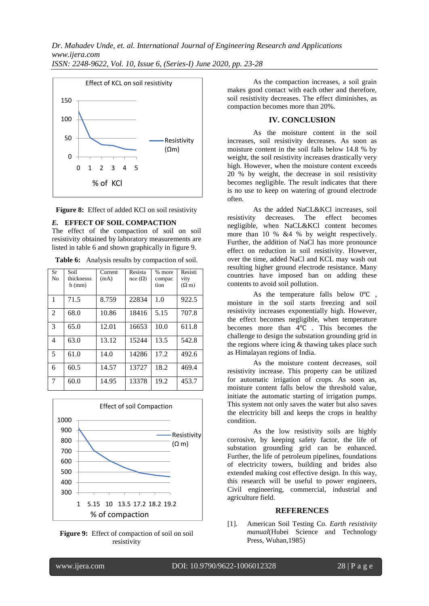

**Figure 8:** Effect of added KCl on soil resistivity

#### *E.* **EFFECT OF SOIL COMPACTION**

The effect of the compaction of soil on soil resistivity obtained by laboratory measurements are listed in table 6 and shown graphically in figure 9.

**Table 6:** Analysis results by compaction of soil.

| <b>Sr</b><br>No | Soil<br>thicknesss<br>$h$ (mm) | Current<br>(mA) | Resista<br>$nce(\Omega)$ | % more<br>compac<br>tion | Resisti<br>vity<br>$(\Omega$ m) |
|-----------------|--------------------------------|-----------------|--------------------------|--------------------------|---------------------------------|
| $\mathbf{1}$    | 71.5                           | 8.759           | 22834                    | 1.0                      | 922.5                           |
| 2               | 68.0                           | 10.86           | 18416                    | 5.15                     | 707.8                           |
| 3               | 65.0                           | 12.01           | 16653                    | 10.0                     | 611.8                           |
| $\overline{4}$  | 63.0                           | 13.12           | 15244                    | 13.5                     | 542.8                           |
| 5               | 61.0                           | 14.0            | 14286                    | 17.2                     | 492.6                           |
| 6               | 60.5                           | 14.57           | 13727                    | 18.2                     | 469.4                           |
| 7               | 60.0                           | 14.95           | 13378                    | 19.2                     | 453.7                           |





As the compaction increases, a soil grain makes good contact with each other and therefore, soil resistivity decreases. The effect diminishes, as compaction becomes more than 20%.

### **IV. CONCLUSION**

As the moisture content in the soil increases, soil resistivity decreases. As soon as moisture content in the soil falls below 14.8 % by weight, the soil resistivity increases drastically very high. However, when the moisture content exceeds 20 % by weight, the decrease in soil resistivity becomes negligible. The result indicates that there is no use to keep on watering of ground electrode often.

As the added NaCL&KCl increases, soil resistivity decreases. The effect becomes negligible, when NaCL&KCl content becomes more than 10 % &4 % by weight respectively. Further, the addition of NaCl has more pronounce effect on reduction in soil resistivity. However, over the time, added NaCl and KCL may wash out resulting higher ground electrode resistance. Many countries have imposed ban on adding these contents to avoid soil pollution.

As the temperature falls below 0℃ , moisture in the soil starts freezing and soil resistivity increases exponentially high. However, the effect becomes negligible, when temperature becomes more than 4℃ . This becomes the challenge to design the substation grounding grid in the regions where icing  $&$  thawing takes place such as Himalayan regions of India.

As the moisture content decreases, soil resistivity increase. This property can be utilized for automatic irrigation of crops. As soon as, moisture content falls below the threshold value, initiate the automatic starting of irrigation pumps. This system not only saves the water but also saves the electricity bill and keeps the crops in healthy condition.

As the low resistivity soils are highly corrosive, by keeping safety factor, the life of substation grounding grid can be enhanced. Further, the life of petroleum pipelines, foundations of electricity towers, building and brides also extended making cost effective design. In this way, this research will be useful to power engineers, Civil engineering, commercial, industrial and agriculture field.

# **REFERENCES**

[1]. American Soil Testing Co. *Earth resistivity manual*(Hubei Science and Technology Press, Wuhan,1985)